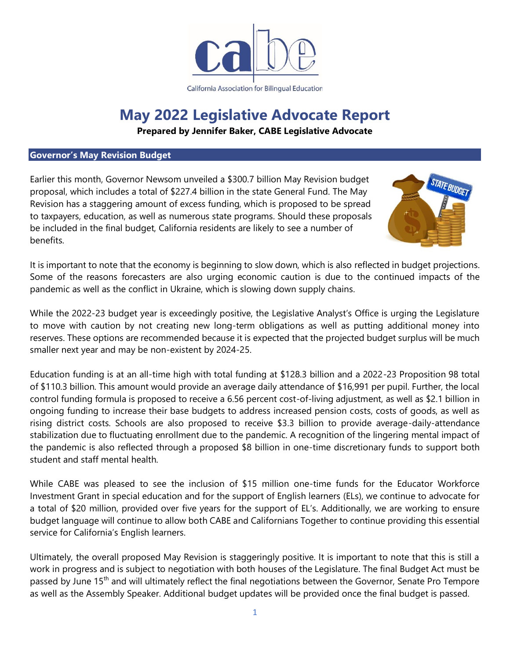

California Association for Bilingual Education

# **May 2022 Legislative Advocate Report**

**Prepared by Jennifer Baker, CABE Legislative Advocate**

# **Governor's May Revision Budget**

Earlier this month, Governor Newsom unveiled a \$300.7 billion May Revision budget proposal, which includes a total of \$227.4 billion in the state General Fund. The May Revision has a staggering amount of excess funding, which is proposed to be spread to taxpayers, education, as well as numerous state programs. Should these proposals be included in the final budget, California residents are likely to see a number of benefits.



It is important to note that the economy is beginning to slow down, which is also reflected in budget projections. Some of the reasons forecasters are also urging economic caution is due to the continued impacts of the pandemic as well as the conflict in Ukraine, which is slowing down supply chains.

While the 2022-23 budget year is exceedingly positive, the Legislative Analyst's Office is urging the Legislature to move with caution by not creating new long-term obligations as well as putting additional money into reserves. These options are recommended because it is expected that the projected budget surplus will be much smaller next year and may be non-existent by 2024-25.

Education funding is at an all-time high with total funding at \$128.3 billion and a 2022-23 Proposition 98 total of \$110.3 billion. This amount would provide an average daily attendance of \$16,991 per pupil. Further, the local control funding formula is proposed to receive a 6.56 percent cost-of-living adjustment, as well as \$2.1 billion in ongoing funding to increase their base budgets to address increased pension costs, costs of goods, as well as rising district costs. Schools are also proposed to receive \$3.3 billion to provide average-daily-attendance stabilization due to fluctuating enrollment due to the pandemic. A recognition of the lingering mental impact of the pandemic is also reflected through a proposed \$8 billion in one-time discretionary funds to support both student and staff mental health.

While CABE was pleased to see the inclusion of \$15 million one-time funds for the Educator Workforce Investment Grant in special education and for the support of English learners (ELs), we continue to advocate for a total of \$20 million, provided over five years for the support of EL's. Additionally, we are working to ensure budget language will continue to allow both CABE and Californians Together to continue providing this essential service for California's English learners.

Ultimately, the overall proposed May Revision is staggeringly positive. It is important to note that this is still a work in progress and is subject to negotiation with both houses of the Legislature. The final Budget Act must be passed by June 15<sup>th</sup> and will ultimately reflect the final negotiations between the Governor, Senate Pro Tempore as well as the Assembly Speaker. Additional budget updates will be provided once the final budget is passed.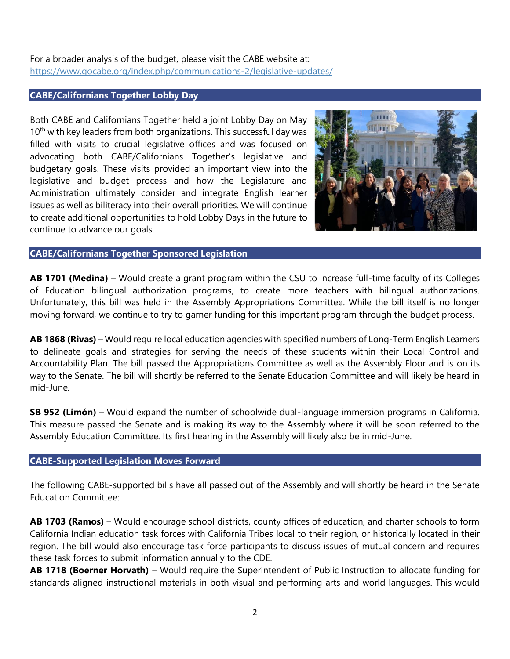# For a broader analysis of the budget, please visit the CABE website at: <https://www.gocabe.org/index.php/communications-2/legislative-updates/>

# **CABE/Californians Together Lobby Day**

Both CABE and Californians Together held a joint Lobby Day on May  $10<sup>th</sup>$  with key leaders from both organizations. This successful day was filled with visits to crucial legislative offices and was focused on advocating both CABE/Californians Together's legislative and budgetary goals. These visits provided an important view into the legislative and budget process and how the Legislature and Administration ultimately consider and integrate English learner issues as well as biliteracy into their overall priorities. We will continue to create additional opportunities to hold Lobby Days in the future to continue to advance our goals.



#### **CABE/Californians Together Sponsored Legislation**

**AB 1701 (Medina)** – Would create a grant program within the CSU to increase full-time faculty of its Colleges of Education bilingual authorization programs, to create more teachers with bilingual authorizations. Unfortunately, this bill was held in the Assembly Appropriations Committee. While the bill itself is no longer moving forward, we continue to try to garner funding for this important program through the budget process.

**AB 1868 (Rivas)** – Would require local education agencies with specified numbers of Long-Term English Learners to delineate goals and strategies for serving the needs of these students within their Local Control and Accountability Plan. The bill passed the Appropriations Committee as well as the Assembly Floor and is on its way to the Senate. The bill will shortly be referred to the Senate Education Committee and will likely be heard in mid-June.

**SB 952 (Limón)** – Would expand the number of schoolwide dual-language immersion programs in California. This measure passed the Senate and is making its way to the Assembly where it will be soon referred to the Assembly Education Committee. Its first hearing in the Assembly will likely also be in mid-June.

# **CABE-Supported Legislation Moves Forward**

The following CABE-supported bills have all passed out of the Assembly and will shortly be heard in the Senate Education Committee:

**AB 1703 (Ramos)** – Would encourage school districts, county offices of education, and charter schools to form California Indian education task forces with California Tribes local to their region, or historically located in their region. The bill would also encourage task force participants to discuss issues of mutual concern and requires these task forces to submit information annually to the CDE.

**AB 1718 (Boerner Horvath)** – Would require the Superintendent of Public Instruction to allocate funding for standards-aligned instructional materials in both visual and performing arts and world languages. This would